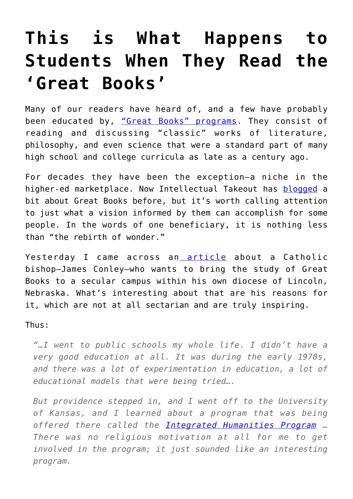## **[This is What Happens to](https://intellectualtakeout.org/2016/02/this-is-what-happens-to-students-when-they-read-the-great-books/) [Students When They Read the](https://intellectualtakeout.org/2016/02/this-is-what-happens-to-students-when-they-read-the-great-books/) ['Great Books'](https://intellectualtakeout.org/2016/02/this-is-what-happens-to-students-when-they-read-the-great-books/)**

Many of our readers have heard of, and a few have probably been educated by, ["Great Books" programs.](http://www.bestcollegereviews.org/features/best-great-book-programs/) They consist of reading and discussing "classic" works of literature, philosophy, and even science that were a standard part of many high school and college curricula as late as a century ago.

For decades they have been the exception—a niche in the higher-ed marketplace. Now Intellectual Takeout has [blogged](https://www.intellectualtakeout.org/search/node/Great%20books%20program) a bit about Great Books before, but it's worth calling attention to just what a vision informed by them can accomplish for some people. In the words of one beneficiary, it is nothing less than "the rebirth of wonder."

Yesterday I came across an [article](http://aleteia.org/2016/02/05/the-bishop-who-wants-to-bring-great-books-to-the-midwest/) about a Catholic bishop—James Conley—who wants to bring the study of Great Books to a secular campus within his own diocese of Lincoln, Nebraska. What's interesting about that are his reasons for it, which are not at all sectarian and are truly inspiring.

Thus:

*"…I went to public schools my whole life. I didn't have a very good education at all. It was during the early 1970s, and there was a lot of experimentation in education, a lot of educational models that were being tried….*

*But providence stepped in, and I went off to the University of Kansas, and I learned about a program that was being offered there called the [Integrated Humanities Program](http://www.clearcreekmonks.org/_pdf/EOC-June-2013-IHP-Catholic-legacy-endures-born-in-wonder.pdf) … There was no religious motivation at all for me to get involved in the program; it just sounded like an interesting program.*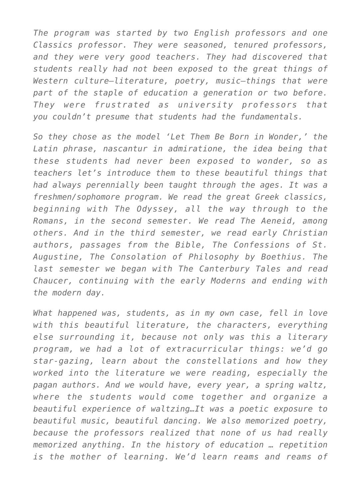*The program was started by two English professors and one Classics professor. They were seasoned, tenured professors, and they were very good teachers. They had discovered that students really had not been exposed to the great things of Western culture—literature, poetry, music—things that were part of the staple of education a generation or two before. They were frustrated as university professors that you couldn't presume that students had the fundamentals.*

*So they chose as the model 'Let Them Be Born in Wonder,' the Latin phrase, nascantur in admiratione, the idea being that these students had never been exposed to wonder, so as teachers let's introduce them to these beautiful things that had always perennially been taught through the ages. It was a freshmen/sophomore program. We read the great Greek classics, beginning with The Odyssey, all the way through to the Romans, in the second semester. We read The Aeneid, among others. And in the third semester, we read early Christian authors, passages from the Bible, The Confessions of St. Augustine, The Consolation of Philosophy by Boethius. The last semester we began with The Canterbury Tales and read Chaucer, continuing with the early Moderns and ending with the modern day.*

*What happened was, students, as in my own case, fell in love with this beautiful literature, the characters, everything else surrounding it, because not only was this a literary program, we had a lot of extracurricular things: we'd go star-gazing, learn about the constellations and how they worked into the literature we were reading, especially the pagan authors. And we would have, every year, a spring waltz, where the students would come together and organize a beautiful experience of waltzing…It was a poetic exposure to beautiful music, beautiful dancing. We also memorized poetry, because the professors realized that none of us had really memorized anything. In the history of education … repetition is the mother of learning. We'd learn reams and reams of*